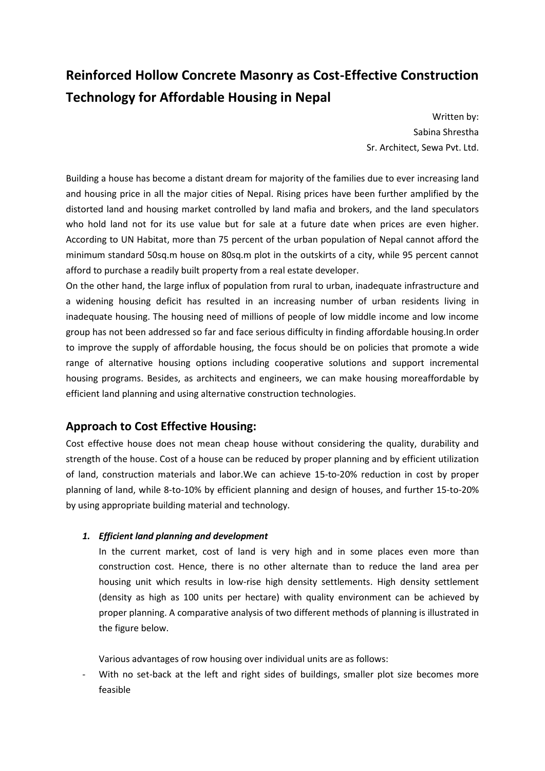# **Reinforced Hollow Concrete Masonry as Cost-Effective Construction Technology for Affordable Housing in Nepal**

Written by: Sabina Shrestha Sr. Architect, Sewa Pvt. Ltd.

Building a house has become a distant dream for majority of the families due to ever increasing land and housing price in all the major cities of Nepal. Rising prices have been further amplified by the distorted land and housing market controlled by land mafia and brokers, and the land speculators who hold land not for its use value but for sale at a future date when prices are even higher. According to UN Habitat, more than 75 percent of the urban population of Nepal cannot afford the minimum standard 50sq.m house on 80sq.m plot in the outskirts of a city, while 95 percent cannot afford to purchase a readily built property from a real estate developer.

On the other hand, the large influx of population from rural to urban, inadequate infrastructure and a widening housing deficit has resulted in an increasing number of urban residents living in inadequate housing. The housing need of millions of people of low middle income and low income group has not been addressed so far and face serious difficulty in finding affordable housing.In order to improve the supply of affordable housing, the focus should be on policies that promote a wide range of alternative housing options including cooperative solutions and support incremental housing programs. Besides, as architects and engineers, we can make housing moreaffordable by efficient land planning and using alternative construction technologies.

# **Approach to Cost Effective Housing:**

Cost effective house does not mean cheap house without considering the quality, durability and strength of the house. Cost of a house can be reduced by proper planning and by efficient utilization of land, construction materials and labor.We can achieve 15-to-20% reduction in cost by proper planning of land, while 8-to-10% by efficient planning and design of houses, and further 15-to-20% by using appropriate building material and technology.

#### *1. Efficient land planning and development*

In the current market, cost of land is very high and in some places even more than construction cost. Hence, there is no other alternate than to reduce the land area per housing unit which results in low-rise high density settlements. High density settlement (density as high as 100 units per hectare) with quality environment can be achieved by proper planning. A comparative analysis of two different methods of planning is illustrated in the figure below.

Various advantages of row housing over individual units are as follows:

With no set-back at the left and right sides of buildings, smaller plot size becomes more feasible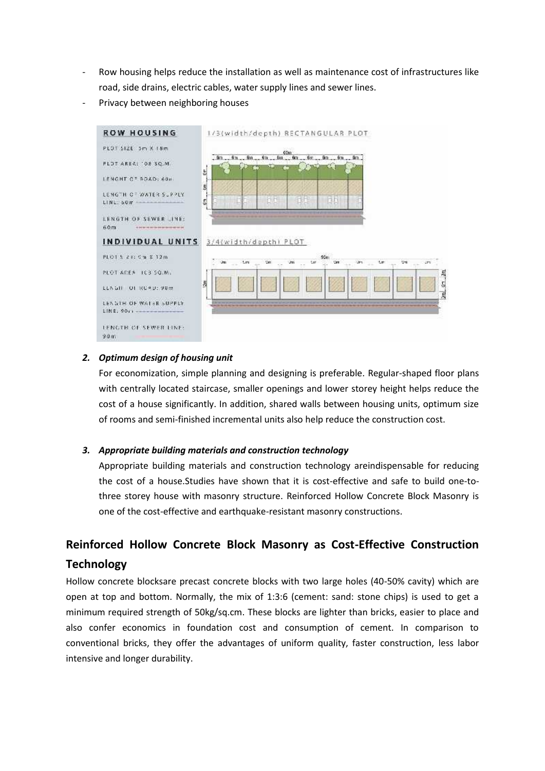- Row housing helps reduce the installation as well as maintenance cost of infrastructures like road, side drains, electric cables, water supply lines and sewer lines.
- Privacy between neighboring houses



#### *2. Optimum design of housing unit*

For economization, simple planning and designing is preferable. Regular-shaped floor plans with centrally located staircase, smaller openings and lower storey height helps reduce the cost of a house significantly. In addition, shared walls between housing units, optimum size of rooms and semi-finished incremental units also help reduce the construction cost.

#### *3. Appropriate building materials and construction technology*

Appropriate building materials and construction technology areindispensable for reducing the cost of a house.Studies have shown that it is cost-effective and safe to build one-to three storey house with masonry structure. Reinforced Hollow Concrete Block Masonry is one of the cost-effective and earthquake-resistant masonry constructions.

# **Reinforced Hollow Concrete Block Masonry as Cost-Effective Construction Technology**

Hollow concrete blocksare precast concrete blocks with two large holes (40-50% cavity) which are open at top and bottom. Normally, the mix of 1:3:6 (cement: sand: stone chips) is used to get a minimum required strength of 50kg/sq.cm. These blocks are lighter than bricks, easier to place and also confer economics in foundation cost and consumption of cement. In comparison to conventional bricks, they offer the advantages of uniform quality, faster construction, less labor intensive and longer durability.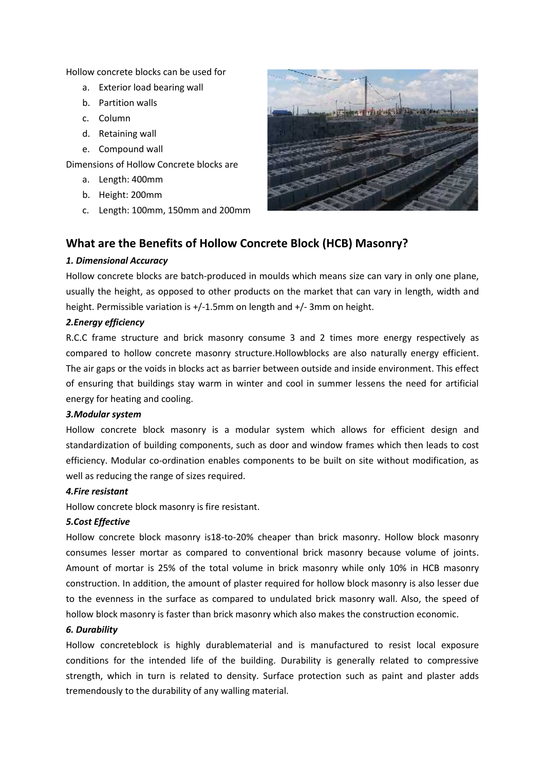Hollow concrete blocks can be used for

- a. Exterior load bearing wall
- b. Partition walls
- c. Column
- d. Retaining wall
- e. Compound wall

Dimensions of Hollow Concrete blocks are

- a. Length: 400mm
- b. Height: 200mm
- c. Length: 100mm, 150mm and 200mm



## **What are the Benefits of Hollow Concrete Block (HCB) Masonry?**

#### *1. Dimensional Accuracy*

Hollow concrete blocks are batch-produced in moulds which means size can vary in only one plane, usually the height, as opposed to other products on the market that can vary in length, width and height. Permissible variation is +/-1.5mm on length and +/- 3mm on height.

#### *2.Energy efficiency*

R.C.C frame structure and brick masonry consume 3 and 2 times more energy respectively as compared to hollow concrete masonry structure.Hollowblocks are also naturally energy efficient. The air gaps or the voids in blocks act as barrier between outside and inside environment. This effect of ensuring that buildings stay warm in winter and cool in summer lessens the need for artificial energy for heating and cooling.

#### *3.Modular system*

Hollow concrete block masonry is a modular system which allows for efficient design and standardization of building components, such as door and window frames which then leads to cost efficiency. Modular co-ordination enables components to be built on site without modification, as well as reducing the range of sizes required.

#### *4.Fire resistant*

Hollow concrete block masonry is fire resistant.

#### *5.Cost Effective*

Hollow concrete block masonry is18-to-20% cheaper than brick masonry. Hollow block masonry consumes lesser mortar as compared to conventional brick masonry because volume of joints. Amount of mortar is 25% of the total volume in brick masonry while only 10% in HCB masonry construction. In addition, the amount of plaster required for hollow block masonry is also lesser due to the evenness in the surface as compared to undulated brick masonry wall. Also, the speed of hollow block masonry is faster than brick masonry which also makes the construction economic.

#### *6. Durability*

Hollow concreteblock is highly durablematerial and is manufactured to resist local exposure conditions for the intended life of the building. Durability is generally related to compressive strength, which in turn is related to density. Surface protection such as paint and plaster adds tremendously to the durability of any walling material.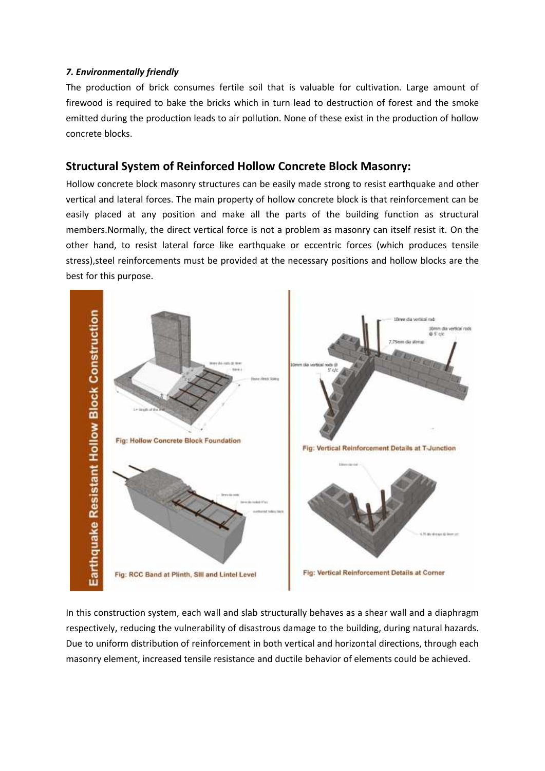#### *7. Environmentally friendly*

The production of brick consumes fertile soil that is valuable for cultivation. Large amount of firewood is required to bake the bricks which in turn lead to destruction of forest and the smoke emitted during the production leads to air pollution. None of these exist in the production of hollow concrete blocks.

## **Structural System of Reinforced Hollow Concrete Block Masonry:**

Hollow concrete block masonry structures can be easily made strong to resist earthquake and other vertical and lateral forces. The main property of hollow concrete block is that reinforcement can be easily placed at any position and make all the parts of the building function as structural members.Normally, the direct vertical force is not a problem as masonry can itself resist it. On the other hand, to resist lateral force like earthquake or eccentric forces (which produces tensile stress),steel reinforcements must be provided at the necessary positions and hollow blocks are the best for this purpose.



In this construction system, each wall and slab structurally behaves as a shear wall and a diaphragm respectively, reducing the vulnerability of disastrous damage to the building, during natural hazards. Due to uniform distribution of reinforcement in both vertical and horizontal directions, through each masonry element, increased tensile resistance and ductile behavior of elements could be achieved.